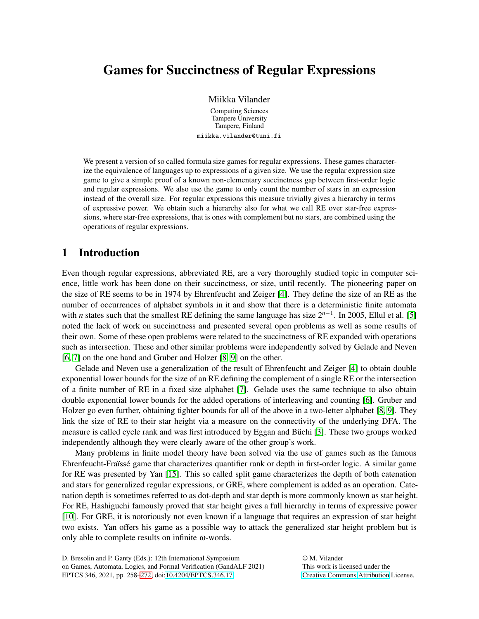# Games for Succinctness of Regular Expressions

Miikka Vilander

Computing Sciences Tampere University Tampere, Finland miikka.vilander@tuni.fi

We present a version of so called formula size games for regular expressions. These games characterize the equivalence of languages up to expressions of a given size. We use the regular expression size game to give a simple proof of a known non-elementary succinctness gap between first-order logic and regular expressions. We also use the game to only count the number of stars in an expression instead of the overall size. For regular expressions this measure trivially gives a hierarchy in terms of expressive power. We obtain such a hierarchy also for what we call RE over star-free expressions, where star-free expressions, that is ones with complement but no stars, are combined using the operations of regular expressions.

## 1 Introduction

Even though regular expressions, abbreviated RE, are a very thoroughly studied topic in computer science, little work has been done on their succinctness, or size, until recently. The pioneering paper on the size of RE seems to be in 1974 by Ehrenfeucht and Zeiger [\[4\]](#page-14-1). They define the size of an RE as the number of occurrences of alphabet symbols in it and show that there is a deterministic finite automata with *n* states such that the smallest RE defining the same language has size  $2^{n-1}$ . In 2005, Ellul et al. [\[5\]](#page-14-2) noted the lack of work on succinctness and presented several open problems as well as some results of their own. Some of these open problems were related to the succinctness of RE expanded with operations such as intersection. These and other similar problems were independently solved by Gelade and Neven [\[6,](#page-14-3) [7\]](#page-14-4) on the one hand and Gruber and Holzer [\[8,](#page-14-5) [9\]](#page-14-6) on the other.

Gelade and Neven use a generalization of the result of Ehrenfeucht and Zeiger [\[4\]](#page-14-1) to obtain double exponential lower bounds for the size of an RE defining the complement of a single RE or the intersection of a finite number of RE in a fixed size alphabet [\[7\]](#page-14-4). Gelade uses the same technique to also obtain double exponential lower bounds for the added operations of interleaving and counting [\[6\]](#page-14-3). Gruber and Holzer go even further, obtaining tighter bounds for all of the above in a two-letter alphabet [\[8,](#page-14-5) [9\]](#page-14-6). They link the size of RE to their star height via a measure on the connectivity of the underlying DFA. The measure is called cycle rank and was first introduced by Eggan and Büchi [\[3\]](#page-13-0). These two groups worked independently although they were clearly aware of the other group's work.

Many problems in finite model theory have been solved via the use of games such as the famous Ehrenfeucht-Fraïssé game that characterizes quantifier rank or depth in first-order logic. A similar game for RE was presented by Yan [\[15\]](#page-14-7). This so called split game characterizes the depth of both catenation and stars for generalized regular expressions, or GRE, where complement is added as an operation. Catenation depth is sometimes referred to as dot-depth and star depth is more commonly known as star height. For RE, Hashiguchi famously proved that star height gives a full hierarchy in terms of expressive power [\[10\]](#page-14-8). For GRE, it is notoriously not even known if a language that requires an expression of star height two exists. Yan offers his game as a possible way to attack the generalized star height problem but is only able to complete results on infinite  $\omega$ -words.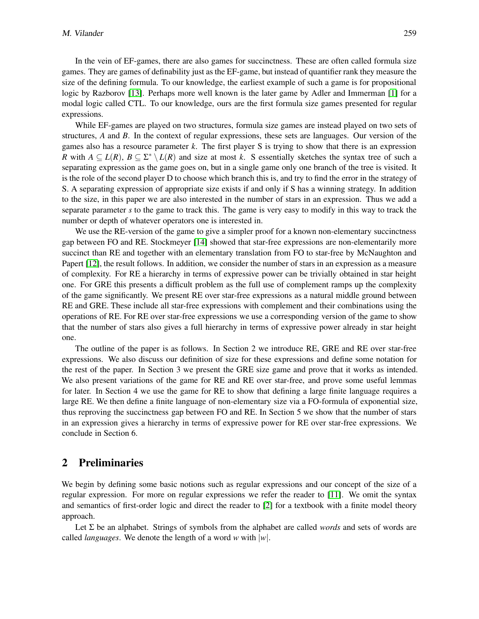In the vein of EF-games, there are also games for succinctness. These are often called formula size games. They are games of definability just as the EF-game, but instead of quantifier rank they measure the size of the defining formula. To our knowledge, the earliest example of such a game is for propositional logic by Razborov [\[13\]](#page-14-9). Perhaps more well known is the later game by Adler and Immerman [\[1\]](#page-13-1) for a modal logic called CTL. To our knowledge, ours are the first formula size games presented for regular expressions.

While EF-games are played on two structures, formula size games are instead played on two sets of structures, *A* and *B*. In the context of regular expressions, these sets are languages. Our version of the games also has a resource parameter *k*. The first player S is trying to show that there is an expression *R* with  $A \subseteq L(R)$ ,  $B \subseteq \Sigma^* \setminus L(R)$  and size at most *k*. S essentially sketches the syntax tree of such a separating expression as the game goes on, but in a single game only one branch of the tree is visited. It is the role of the second player D to choose which branch this is, and try to find the error in the strategy of S. A separating expression of appropriate size exists if and only if S has a winning strategy. In addition to the size, in this paper we are also interested in the number of stars in an expression. Thus we add a separate parameter *s* to the game to track this. The game is very easy to modify in this way to track the number or depth of whatever operators one is interested in.

We use the RE-version of the game to give a simpler proof for a known non-elementary succinctness gap between FO and RE. Stockmeyer [\[14\]](#page-14-10) showed that star-free expressions are non-elementarily more succinct than RE and together with an elementary translation from FO to star-free by McNaughton and Papert [\[12\]](#page-14-11), the result follows. In addition, we consider the number of stars in an expression as a measure of complexity. For RE a hierarchy in terms of expressive power can be trivially obtained in star height one. For GRE this presents a difficult problem as the full use of complement ramps up the complexity of the game significantly. We present RE over star-free expressions as a natural middle ground between RE and GRE. These include all star-free expressions with complement and their combinations using the operations of RE. For RE over star-free expressions we use a corresponding version of the game to show that the number of stars also gives a full hierarchy in terms of expressive power already in star height one.

The outline of the paper is as follows. In Section 2 we introduce RE, GRE and RE over star-free expressions. We also discuss our definition of size for these expressions and define some notation for the rest of the paper. In Section 3 we present the GRE size game and prove that it works as intended. We also present variations of the game for RE and RE over star-free, and prove some useful lemmas for later. In Section 4 we use the game for RE to show that defining a large finite language requires a large RE. We then define a finite language of non-elementary size via a FO-formula of exponential size, thus reproving the succinctness gap between FO and RE. In Section 5 we show that the number of stars in an expression gives a hierarchy in terms of expressive power for RE over star-free expressions. We conclude in Section 6.

#### 2 Preliminaries

We begin by defining some basic notions such as regular expressions and our concept of the size of a regular expression. For more on regular expressions we refer the reader to [\[11\]](#page-14-12). We omit the syntax and semantics of first-order logic and direct the reader to [\[2\]](#page-13-2) for a textbook with a finite model theory approach.

Let Σ be an alphabet. Strings of symbols from the alphabet are called *words* and sets of words are called *languages*. We denote the length of a word *w* with |*w*|.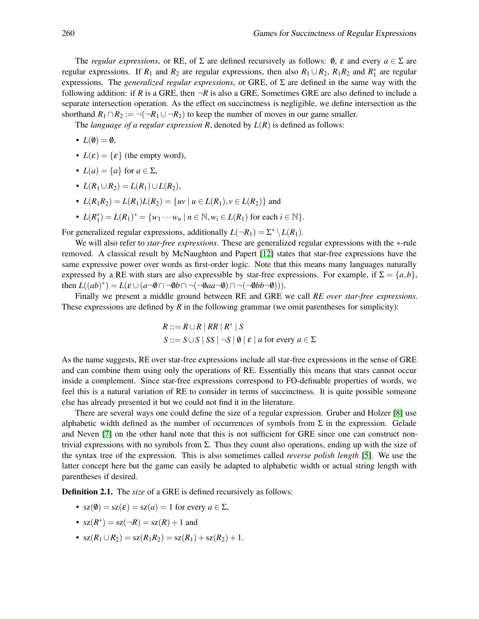The *regular expressions*, or RE, of  $\Sigma$  are defined recursively as follows:  $\emptyset$ ,  $\varepsilon$  and every  $a \in \Sigma$  are regular expressions. If  $R_1$  and  $R_2$  are regular expressions, then also  $R_1 \cup R_2$ ,  $R_1R_2$  and  $R_1^*$  are regular expressions. The *generalized regular expressions*, or GRE, of Σ are defined in the same way with the following addition: if *R* is a GRE, then  $\neg R$  is also a GRE. Sometimes GRE are also defined to include a separate intersection operation. As the effect on succinctness is negligible, we define intersection as the shorthand  $R_1 \cap R_2 := \neg(\neg R_1 \cup \neg R_2)$  to keep the number of moves in our game smaller.

The *language of a regular expression R*, denoted by  $L(R)$  is defined as follows:

•  $L(\emptyset) = \emptyset$ ,

- $L(\varepsilon) = {\varepsilon}$  (the empty word),
- $L(a) = \{a\}$  for  $a \in \Sigma$ ,
- $L(R_1 \cup R_2) = L(R_1) \cup L(R_2)$ ,
- $L(R_1R_2) = L(R_1)L(R_2) = \{uv \mid u \in L(R_1), v \in L(R_2)\}\$  and
- $L(R_1^*) = L(R_1)^* = \{w_1 \cdots w_n \mid n \in \mathbb{N}, w_i \in L(R_1) \text{ for each } i \in \mathbb{N}\}.$

For generalized regular expressions, additionally  $L(\neg R_1) = \sum^* \setminus L(R_1)$ .

We will also refer to *star-free expressions*. These are generalized regular expressions with the ∗-rule removed. A classical result by McNaughton and Papert [\[12\]](#page-14-11) states that star-free expressions have the same expressive power over words as first-order logic. Note that this means many languages naturally expressed by a RE with stars are also expressible by star-free expressions. For example, if  $\Sigma = \{a, b\}$ , then  $L((ab)^*) = L(\varepsilon \cup (a \neg \emptyset \cap \neg \emptyset b \cap \neg(\neg \emptyset aa \neg \emptyset) \cap \neg(\neg \emptyset bb \neg \emptyset))).$ 

Finally we present a middle ground between RE and GRE we call *RE over star-free expressions*. These expressions are defined by *R* in the following grammar (we omit parentheses for simplicity):

$$
R ::= R \cup R \mid RR \mid R^* \mid S
$$
  
\n
$$
S ::= S \cup S \mid SS \mid \neg S \mid \emptyset \mid \varepsilon \mid a \text{ for every } a \in \Sigma
$$

As the name suggests, RE over star-free expressions include all star-free expressions in the sense of GRE and can combine them using only the operations of RE. Essentially this means that stars cannot occur inside a complement. Since star-free expressions correspond to FO-definable properties of words, we feel this is a natural variation of RE to consider in terms of succinctness. It is quite possible someone else has already presented it but we could not find it in the literature.

There are several ways one could define the size of a regular expression. Gruber and Holzer [\[8\]](#page-14-5) use alphabetic width defined as the number of occurrences of symbols from  $\Sigma$  in the expression. Gelade and Neven [\[7\]](#page-14-4) on the other hand note that this is not sufficient for GRE since one can construct nontrivial expressions with no symbols from  $\Sigma$ . Thus they count also operations, ending up with the size of the syntax tree of the expression. This is also sometimes called *reverse polish length* [\[5\]](#page-14-2). We use the latter concept here but the game can easily be adapted to alphabetic width or actual string length with parentheses if desired.

Definition 2.1. The *size* of a GRE is defined recursively as follows:

- $sz(\emptyset) = sz(\varepsilon) = sz(a) = 1$  for every  $a \in \Sigma$ ,
- $sz(R^*) = sz(\neg R) = sz(R) + 1$  and
- $sz(R_1 \cup R_2) = sz(R_1R_2) = sz(R_1) + sz(R_2) + 1.$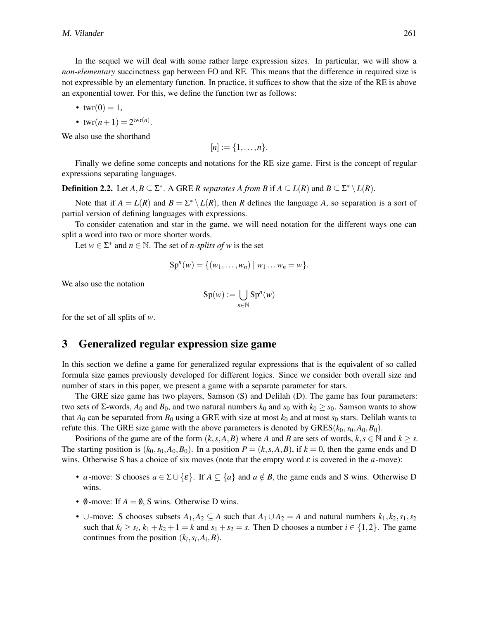In the sequel we will deal with some rather large expression sizes. In particular, we will show a *non-elementary* succinctness gap between FO and RE. This means that the difference in required size is not expressible by an elementary function. In practice, it suffices to show that the size of the RE is above an exponential tower. For this, we define the function twr as follows:

• 
$$
twr(0) = 1
$$
,

• 
$$
twr(n+1) = 2^{twr(n)}.
$$

We also use the shorthand

$$
[n]:=\{1,\ldots,n\}.
$$

Finally we define some concepts and notations for the RE size game. First is the concept of regular expressions separating languages.

**Definition 2.2.** Let  $A, B \subseteq \Sigma^*$ . A GRE *R separates A from B* if  $A \subseteq L(R)$  and  $B \subseteq \Sigma^* \setminus L(R)$ .

Note that if  $A = L(R)$  and  $B = \sum^* \setminus L(R)$ , then *R* defines the language *A*, so separation is a sort of partial version of defining languages with expressions.

To consider catenation and star in the game, we will need notation for the different ways one can split a word into two or more shorter words.

Let  $w \in \Sigma^*$  and  $n \in \mathbb{N}$ . The set of *n*-splits of w is the set

$$
Spn(w) = \{ (w_1, \ldots, w_n) | w_1 \ldots w_n = w \}.
$$

We also use the notation

$$
\mathrm{Sp}(w):=\bigcup_{n\in\mathbb{N}}\mathrm{Sp}^n(w)
$$

for the set of all splits of *w*.

#### 3 Generalized regular expression size game

In this section we define a game for generalized regular expressions that is the equivalent of so called formula size games previously developed for different logics. Since we consider both overall size and number of stars in this paper, we present a game with a separate parameter for stars.

The GRE size game has two players, Samson (S) and Delilah (D). The game has four parameters: two sets of Σ-words,  $A_0$  and  $B_0$ , and two natural numbers  $k_0$  and  $s_0$  with  $k_0 \geq s_0$ . Samson wants to show that  $A_0$  can be separated from  $B_0$  using a GRE with size at most  $k_0$  and at most  $s_0$  stars. Delilah wants to refute this. The GRE size game with the above parameters is denoted by  $GRES(k_0, s_0, A_0, B_0)$ .

Positions of the game are of the form  $(k, s, A, B)$  where *A* and *B* are sets of words,  $k, s \in \mathbb{N}$  and  $k \geq s$ . The starting position is  $(k_0, s_0, A_0, B_0)$ . In a position  $P = (k, s, A, B)$ , if  $k = 0$ , then the game ends and D wins. Otherwise S has a choice of six moves (note that the empty word  $\varepsilon$  is covered in the *a*-move):

- *a*-move: S chooses  $a \in \Sigma \cup \{\varepsilon\}$ . If  $A \subseteq \{a\}$  and  $a \notin B$ , the game ends and S wins. Otherwise D wins.
- $\emptyset$ -move: If  $A = \emptyset$ , S wins. Otherwise D wins.
- ∪-move: S chooses subsets  $A_1, A_2 \subseteq A$  such that  $A_1 \cup A_2 = A$  and natural numbers  $k_1, k_2, s_1, s_2$ such that  $k_i \geq s_i$ ,  $k_1 + k_2 + 1 = k$  and  $s_1 + s_2 = s$ . Then D chooses a number  $i \in \{1, 2\}$ . The game continues from the position  $(k_i, s_i, A_i, B)$ .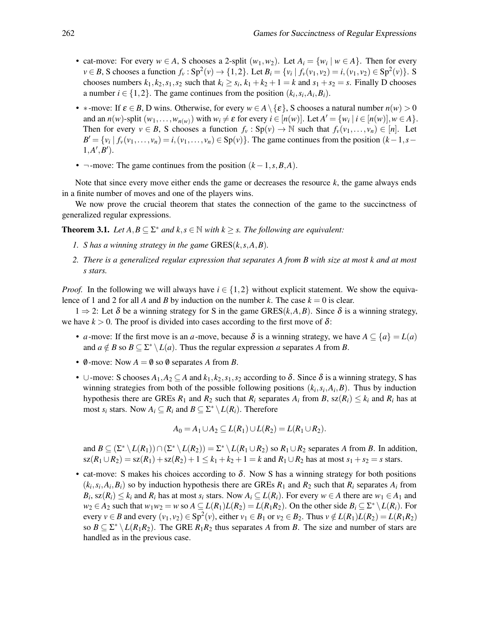- cat-move: For every  $w \in A$ , S chooses a 2-split  $(w_1, w_2)$ . Let  $A_i = \{w_i \mid w \in A\}$ . Then for every *v* ∈ *B*, S chooses a function  $f_v : Sp^2(v) \to \{1,2\}$ . Let  $B_i = \{v_i \mid f_v(v_1,v_2) = i, (v_1,v_2) \in Sp^2(v)\}$ . S chooses numbers  $k_1$ ,  $k_2$ ,  $s_1$ ,  $s_2$  such that  $k_i \geq s_i$ ,  $k_1 + k_2 + 1 = k$  and  $s_1 + s_2 = s$ . Finally D chooses a number  $i \in \{1, 2\}$ . The game continues from the position  $(k_i, s_i, A_i, B_i)$ .
- \*-move: If  $\varepsilon \in B$ , D wins. Otherwise, for every  $w \in A \setminus \{\varepsilon\}$ , S chooses a natural number  $n(w) > 0$ and an  $n(w)$ -split  $(w_1, ..., w_{n(w)})$  with  $w_i \neq \varepsilon$  for every  $i \in [n(w)]$ . Let  $A' = \{w_i \mid i \in [n(w)], w \in A\}$ . Then for every  $v \in B$ , S chooses a function  $f_v : Sp(v) \to \mathbb{N}$  such that  $f_v(v_1,\ldots,v_n) \in [n]$ . Let  $B' = \{v_i \mid f_v(v_1,\ldots,v_n) = i, (v_1,\ldots,v_n) \in Sp(v)\}.$  The game continues from the position  $(k-1,s-1)$  $1, A', B'$ .
- ¬-move: The game continues from the position (*k*−1,*s*,*B*,*A*).

Note that since every move either ends the game or decreases the resource *k*, the game always ends in a finite number of moves and one of the players wins.

We now prove the crucial theorem that states the connection of the game to the succinctness of generalized regular expressions.

<span id="page-4-0"></span>**Theorem 3.1.** *Let*  $A, B \subseteq \Sigma^*$  *and*  $k, s \in \mathbb{N}$  *with*  $k \geq s$ *. The following are equivalent:* 

- *1. S has a winning strategy in the game* GRES(*k*,*s*,*A*,*B*)*.*
- *2. There is a generalized regular expression that separates A from B with size at most k and at most s stars.*

*Proof.* In the following we will always have  $i \in \{1,2\}$  without explicit statement. We show the equivalence of 1 and 2 for all *A* and *B* by induction on the number *k*. The case  $k = 0$  is clear.

1 ⇒ 2: Let δ be a winning strategy for S in the game GRES(*k*,*A*,*B*). Since δ is a winning strategy, we have  $k > 0$ . The proof is divided into cases according to the first move of  $\delta$ :

- *a*-move: If the first move is an *a*-move, because  $\delta$  is a winning strategy, we have  $A \subseteq \{a\} = L(a)$ and  $a \notin B$  so  $B \subseteq \Sigma^* \setminus L(a)$ . Thus the regular expression *a* separates *A* from *B*.
- $\emptyset$ -move: Now  $A = \emptyset$  so  $\emptyset$  separates A from *B*.
- ∪-move: S chooses  $A_1, A_2 \subseteq A$  and  $k_1, k_2, s_1, s_2$  according to  $\delta$ . Since  $\delta$  is a winning strategy, S has winning strategies from both of the possible following positions  $(k_i, s_i, A_i, B)$ . Thus by induction hypothesis there are GREs  $R_1$  and  $R_2$  such that  $R_i$  separates  $A_i$  from  $B$ ,  $sz(R_i) \leq k_i$  and  $R_i$  has at most  $s_i$  stars. Now  $A_i \subseteq R_i$  and  $B \subseteq \Sigma^* \setminus L(R_i)$ . Therefore

$$
A_0 = A_1 \cup A_2 \subseteq L(R_1) \cup L(R_2) = L(R_1 \cup R_2).
$$

and  $B \subseteq (\Sigma^* \setminus L(R_1)) \cap (\Sigma^* \setminus L(R_2)) = \Sigma^* \setminus L(R_1 \cup R_2)$  so  $R_1 \cup R_2$  separates *A* from *B*. In addition,  $sz(R_1 \cup R_2) = sz(R_1) + sz(R_2) + 1 \le k_1 + k_2 + 1 = k$  and  $R_1 \cup R_2$  has at most  $s_1 + s_2 = s$  stars.

• cat-move: S makes his choices according to  $\delta$ . Now S has a winning strategy for both positions  $(k_i, s_i, A_i, B_i)$  so by induction hypothesis there are GREs  $R_1$  and  $R_2$  such that  $R_i$  separates  $A_i$  from  $B_i$ , sz $(R_i) \leq k_i$  and  $R_i$  has at most  $s_i$  stars. Now  $A_i \subseteq L(R_i)$ . For every  $w \in A$  there are  $w_1 \in A_1$  and *w*<sub>2</sub> ∈ *A*<sub>2</sub> such that *w*<sub>1</sub>*w*<sub>2</sub> = *w* so *A* ⊆ *L*(*R*<sub>1</sub>)*L*(*R*<sub>2</sub>) = *L*(*R*<sub>1</sub>*R*<sub>2</sub>). On the other side *B*<sup>*i*</sup> ⊆ ∑<sup>\*</sup>  $\setminus$  *L*(*Ri*</sub>). For every  $v \in B$  and every  $(v_1, v_2) \in \text{Sp}^2(v)$ , either  $v_1 \in B_1$  or  $v_2 \in B_2$ . Thus  $v \notin L(R_1)L(R_2) = L(R_1R_2)$ so  $B \subseteq \Sigma^* \setminus L(R_1R_2)$ . The GRE  $R_1R_2$  thus separates *A* from *B*. The size and number of stars are handled as in the previous case.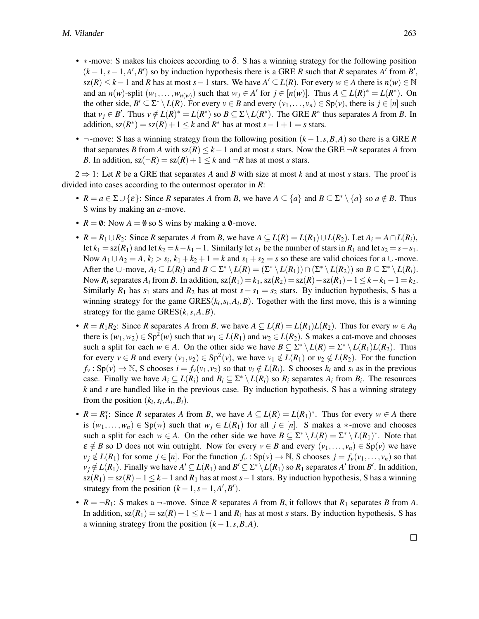- $\ast$ -move: S makes his choices according to  $\delta$ . S has a winning strategy for the following position  $(k-1, s-1, A', B')$  so by induction hypothesis there is a GRE *R* such that *R* separates *A'* from *B'*, sz(*R*) ≤ *k* − 1 and *R* has at most *s* − 1 stars. We have  $A' \subseteq L(R)$ . For every  $w \in A$  there is  $n(w) \in \mathbb{N}$ and an  $n(w)$ -split  $(w_1, \ldots, w_{n(w)})$  such that  $w_j \in A'$  for  $j \in [n(w)]$ . Thus  $A \subseteq L(R)^* = L(R^*)$ . On the other side,  $B' \subseteq \Sigma^* \setminus L(R)$ . For every  $v \in B$  and every  $(v_1, \ldots, v_n) \in Sp(v)$ , there is  $j \in [n]$  such that  $v_j \in B'$ . Thus  $v \notin L(R)^* = L(R^*)$  so  $B \subseteq \Sigma \setminus L(R^*)$ . The GRE  $R^*$  thus separates *A* from *B*. In addition,  $sz(R^*) = sz(R) + 1 \leq k$  and  $R^*$  has at most  $s - 1 + 1 = s$  stars.
- ¬-move: S has a winning strategy from the following position (*k* −1,*s*,*B*,*A*) so there is a GRE *R* that separates *B* from *A* with  $sz(R) \le k - 1$  and at most *s* stars. Now the GRE  $\neg R$  separates *A* from *B*. In addition,  $sz(\neg R) = sz(R) + 1 \leq k$  and  $\neg R$  has at most *s* stars.

 $2 \Rightarrow 1$ : Let *R* be a GRE that separates *A* and *B* with size at most *k* and at most *s* stars. The proof is divided into cases according to the outermost operator in *R*:

- $R = a \in \Sigma \cup \{\varepsilon\}$ : Since *R* separates *A* from *B*, we have  $A \subseteq \{a\}$  and  $B \subseteq \Sigma^* \setminus \{a\}$  so  $a \notin B$ . Thus S wins by making an *a*-move.
- $R = \emptyset$ : Now  $A = \emptyset$  so S wins by making a  $\emptyset$ -move.
- $R = R_1 ∪ R_2$ : Since *R* separates *A* from *B*, we have  $A ⊆ L(R) = L(R_1) ∪ L(R_2)$ . Let  $A_i = A ∩ L(R_i)$ , let  $k_1 = \text{sz}(R_1)$  and let  $k_2 = k - k_1 - 1$ . Similarly let  $s_1$  be the number of stars in  $R_1$  and let  $s_2 = s - s_1$ . Now  $A_1 \cup A_2 = A$ ,  $k_i > s_i$ ,  $k_1 + k_2 + 1 = k$  and  $s_1 + s_2 = s$  so these are valid choices for a  $\cup$ -move. After the  $\cup$ -move,  $A_i \subseteq L(R_i)$  and  $B \subseteq \Sigma^* \setminus L(R) = (\Sigma^* \setminus L(R_1)) \cap (\Sigma^* \setminus L(R_2))$  so  $B \subseteq \Sigma^* \setminus L(R_i)$ . Now  $R_i$  separates  $A_i$  from  $B$ . In addition,  $sz(R_1) = k_1$ ,  $sz(R_2) = sz(R) - sz(R_1) - 1 \leq k - k_1 - 1 = k_2$ . Similarly  $R_1$  has  $s_1$  stars and  $R_2$  has at most  $s - s_1 = s_2$  stars. By induction hypothesis, S has a winning strategy for the game  $GRES(k_i, s_i, A_i, B)$ . Together with the first move, this is a winning strategy for the game  $GRES(k, s, A, B)$ .
- $R = R_1R_2$ : Since *R* separates *A* from *B*, we have  $A \subseteq L(R) = L(R_1)L(R_2)$ . Thus for every  $w \in A_0$ there is  $(w_1, w_2) \in \text{Sp}^2(w)$  such that  $w_1 \in L(R_1)$  and  $w_2 \in L(R_2)$ . S makes a cat-move and chooses such a split for each  $w \in A$ . On the other side we have  $B \subseteq \Sigma^* \setminus L(R) = \Sigma^* \setminus L(R_1)L(R_2)$ . Thus for every  $v \in B$  and every  $(v_1, v_2) \in \text{Sp}^2(v)$ , we have  $v_1 \notin L(R_1)$  or  $v_2 \notin L(R_2)$ . For the function  $f_v : Sp(v) \to \mathbb{N}$ , S chooses  $i = f_v(v_1, v_2)$  so that  $v_i \notin L(R_i)$ . S chooses  $k_i$  and  $s_i$  as in the previous case. Finally we have  $A_i \subseteq L(R_i)$  and  $B_i \subseteq \Sigma^* \setminus L(R_i)$  so  $R_i$  separates  $A_i$  from  $B_i$ . The resources *k* and *s* are handled like in the previous case. By induction hypothesis, S has a winning strategy from the position  $(k_i, s_i, A_i, B_i)$ .
- $R = R_1^*$ : Since *R* separates *A* from *B*, we have  $A \subseteq L(R) = L(R_1)^*$ . Thus for every  $w \in A$  there is  $(w_1,...,w_n) \in Sp(w)$  such that  $w_j \in L(R_1)$  for all  $j \in [n]$ . S makes a  $*$ -move and chooses such a split for each  $w \in A$ . On the other side we have  $B \subseteq \Sigma^* \setminus L(R) = \Sigma^* \setminus L(R_1)^*$ . Note that  $\varepsilon \notin B$  so D does not win outright. Now for every  $v \in B$  and every  $(v_1, \ldots, v_n) \in Sp(v)$  we have  $v_j \notin L(R_1)$  for some  $j \in [n]$ . For the function  $f_v : Sp(v) \to \mathbb{N}$ , S chooses  $j = f_v(v_1, \ldots, v_n)$  so that  $v_j \notin L(R_1)$ . Finally we have  $A' \subseteq L(R_1)$  and  $B' \subseteq \Sigma^* \setminus L(R_1)$  so  $R_1$  separates  $A'$  from  $B'$ . In addition,  $sz(R_1) = sz(R) - 1 \leq k - 1$  and  $R_1$  has at most  $s - 1$  stars. By induction hypothesis, S has a winning strategy from the position  $(k-1, s-1, A', B')$ .
- $R = \neg R_1$ : S makes a  $\neg$ -move. Since *R* separates *A* from *B*, it follows that  $R_1$  separates *B* from *A*. In addition,  $sz(R_1) = sz(R) - 1 \leq k - 1$  and  $R_1$  has at most *s* stars. By induction hypothesis, S has a winning strategy from the position  $(k-1, s, B, A)$ .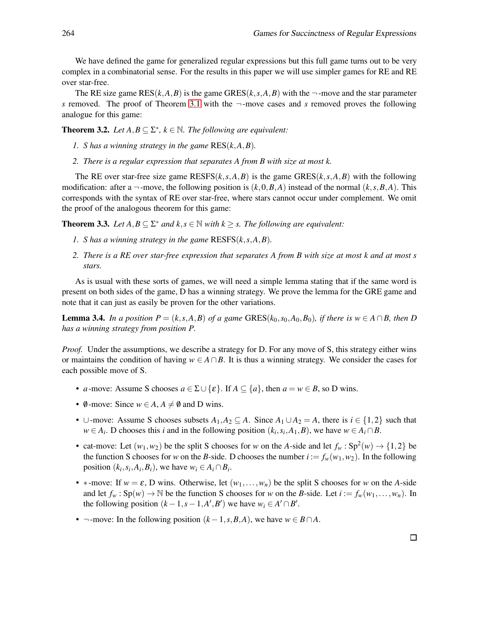We have defined the game for generalized regular expressions but this full game turns out to be very complex in a combinatorial sense. For the results in this paper we will use simpler games for RE and RE over star-free.

The RE size game  $RES(k, A, B)$  is the game  $GRES(k, s, A, B)$  with the  $\neg$ -move and the star parameter *s* removed. The proof of Theorem [3.1](#page-4-0) with the ¬-move cases and *s* removed proves the following analogue for this game:

<span id="page-6-1"></span>**Theorem 3.2.** Let  $A, B \subseteq \Sigma^*, k \in \mathbb{N}$ . The following are equivalent:

- *1. S has a winning strategy in the game* RES(*k*,*A*,*B*)*.*
- *2. There is a regular expression that separates A from B with size at most k.*

The RE over star-free size game  $RESES(k, s, A, B)$  is the game  $GRESS(k, s, A, B)$  with the following modification: after a  $\neg$ -move, the following position is  $(k,0,B,A)$  instead of the normal  $(k,s,B,A)$ . This corresponds with the syntax of RE over star-free, where stars cannot occur under complement. We omit the proof of the analogous theorem for this game:

**Theorem 3.3.** *Let*  $A, B \subseteq \Sigma^*$  *and*  $k, s \in \mathbb{N}$  *with*  $k \geq s$ *. The following are equivalent:* 

- *1. S has a winning strategy in the game* RESFS(*k*,*s*,*A*,*B*)*.*
- *2. There is a RE over star-free expression that separates A from B with size at most k and at most s stars.*

As is usual with these sorts of games, we will need a simple lemma stating that if the same word is present on both sides of the game, D has a winning strategy. We prove the lemma for the GRE game and note that it can just as easily be proven for the other variations.

<span id="page-6-0"></span>**Lemma 3.4.** *In a position P* =  $(k, s, A, B)$  *of a game* GRES( $k_0, s_0, A_0, B_0$ )*, if there is w* ∈  $A \cap B$ *, then D has a winning strategy from position P.*

*Proof.* Under the assumptions, we describe a strategy for D. For any move of S, this strategy either wins or maintains the condition of having  $w \in A \cap B$ . It is thus a winning strategy. We consider the cases for each possible move of S.

- *a*-move: Assume S chooses  $a \in \Sigma \cup \{\varepsilon\}$ . If  $A \subseteq \{a\}$ , then  $a = w \in B$ , so D wins.
- $\emptyset$ -move: Since  $w \in A$ ,  $A \neq \emptyset$  and D wins.
- ∪-move: Assume S chooses subsets  $A_1, A_2 \subseteq A$ . Since  $A_1 \cup A_2 = A$ , there is  $i \in \{1,2\}$  such that  $w \in A_i$ . D chooses this *i* and in the following position  $(k_i, s_i, A_1, B)$ , we have  $w \in A_i \cap B$ .
- cat-move: Let  $(w_1, w_2)$  be the split S chooses for *w* on the *A*-side and let  $f_w : Sp^2(w) \to \{1,2\}$  be the function S chooses for *w* on the *B*-side. D chooses the number  $i := f_w(w_1, w_2)$ . In the following position  $(k_i, s_i, A_i, B_i)$ , we have  $w_i \in A_i \cap B_i$ .
- \*-move: If  $w = \varepsilon$ , D wins. Otherwise, let  $(w_1, \ldots, w_n)$  be the split S chooses for *w* on the *A*-side and let  $f_w$ :  $Sp(w) \to \mathbb{N}$  be the function S chooses for *w* on the *B*-side. Let  $i := f_w(w_1, \ldots, w_n)$ . In the following position  $(k-1, s-1, A', B')$  we have  $w_i \in A' \cap B'$ .
- ¬-move: In the following position  $(k-1, s, B, A)$ , we have  $w \in B \cap A$ .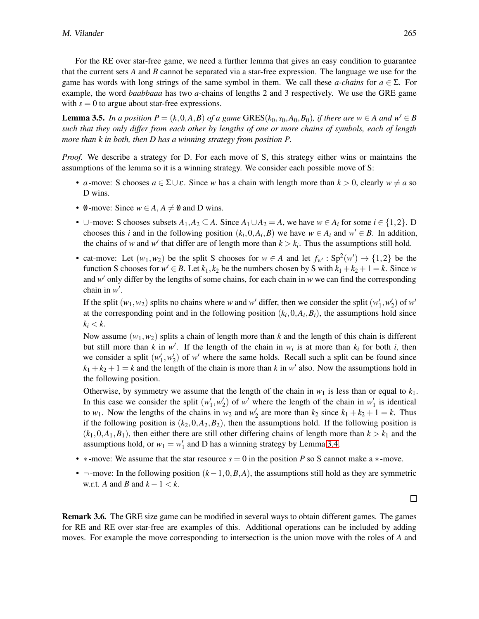For the RE over star-free game, we need a further lemma that gives an easy condition to guarantee that the current sets *A* and *B* cannot be separated via a star-free expression. The language we use for the game has words with long strings of the same symbol in them. We call these *a-chains* for *a* ∈ Σ. For example, the word *baabbaaa* has two *a*-chains of lengths 2 and 3 respectively. We use the GRE game with  $s = 0$  to argue about star-free expressions.

<span id="page-7-0"></span>**Lemma 3.5.** In a position  $P = (k, 0, A, B)$  of a game GRES( $k_0$ ,  $s_0$ ,  $A_0$ ,  $B_0$ ), if there are  $w \in A$  and  $w' \in B$ *such that they only differ from each other by lengths of one or more chains of symbols, each of length more than k in both, then D has a winning strategy from position P.*

*Proof.* We describe a strategy for D. For each move of S, this strategy either wins or maintains the assumptions of the lemma so it is a winning strategy. We consider each possible move of S:

- *a*-move: S chooses  $a \in \Sigma \cup \varepsilon$ . Since *w* has a chain with length more than  $k > 0$ , clearly  $w \neq a$  so D wins.
- $\emptyset$ -move: Since  $w \in A$ ,  $A \neq \emptyset$  and D wins.
- ∪-move: S chooses subsets  $A_1, A_2 \subseteq A$ . Since  $A_1 \cup A_2 = A$ , we have  $w \in A_i$  for some  $i \in \{1,2\}$ . D chooses this *i* and in the following position  $(k_i, 0, A_i, B)$  we have  $w \in A_i$  and  $w' \in B$ . In addition, the chains of *w* and *w*<sup>*'*</sup> that differ are of length more than  $k > k_i$ . Thus the assumptions still hold.
- cat-move: Let  $(w_1, w_2)$  be the split S chooses for  $w \in A$  and let  $f_{w'} : Sp^2(w') \to \{1,2\}$  be the function S chooses for  $w' \in B$ . Let  $k_1, k_2$  be the numbers chosen by S with  $k_1 + k_2 + 1 = k$ . Since w and *w* ′ only differ by the lengths of some chains, for each chain in *w* we can find the corresponding chain in *w* ′ .

If the split  $(w_1, w_2)$  splits no chains where *w* and *w'* differ, then we consider the split  $(w'_1, w'_2)$  of *w'* at the corresponding point and in the following position  $(k_i, 0, A_i, B_i)$ , the assumptions hold since  $k_i < k$ .

Now assume  $(w_1, w_2)$  splits a chain of length more than *k* and the length of this chain is different but still more than *k* in *w'*. If the length of the chain in  $w_i$  is at more than  $k_i$  for both *i*, then we consider a split  $(w'_1, w'_2)$  of w' where the same holds. Recall such a split can be found since  $k_1 + k_2 + 1 = k$  and the length of the chain is more than *k* in *w*' also. Now the assumptions hold in the following position.

Otherwise, by symmetry we assume that the length of the chain in  $w_1$  is less than or equal to  $k_1$ . In this case we consider the split  $(w'_1, w'_2)$  of w' where the length of the chain in  $w'_1$  is identical to  $w_1$ . Now the lengths of the chains in  $w_2$  and  $w'_2$  are more than  $k_2$  since  $k_1 + k_2 + 1 = k$ . Thus if the following position is  $(k_2, 0, A_2, B_2)$ , then the assumptions hold. If the following position is  $(k_1, 0, A_1, B_1)$ , then either there are still other differing chains of length more than  $k > k_1$  and the assumptions hold, or  $w_1 = w'_1$  and D has a winning strategy by Lemma [3.4.](#page-6-0)

- ∗-move: We assume that the star resource *s* = 0 in the position *P* so S cannot make a ∗-move.
- $\neg$ -move: In the following position  $(k-1,0,B,A)$ , the assumptions still hold as they are symmetric w.r.t. *A* and *B* and  $k-1 < k$ .

<span id="page-7-1"></span>Remark 3.6. The GRE size game can be modified in several ways to obtain different games. The games for RE and RE over star-free are examples of this. Additional operations can be included by adding moves. For example the move corresponding to intersection is the union move with the roles of *A* and

 $\Box$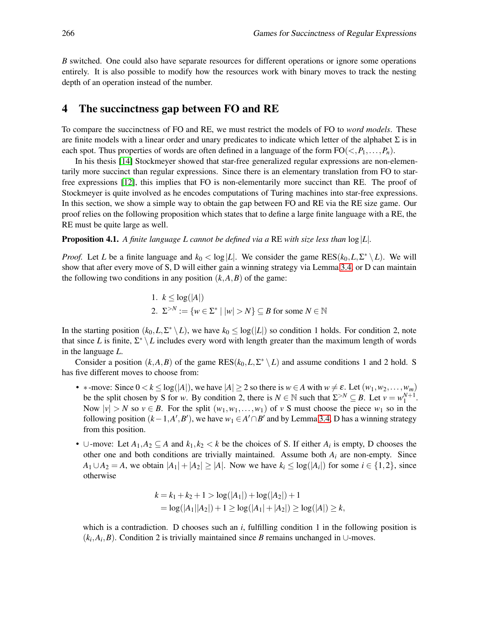*B* switched. One could also have separate resources for different operations or ignore some operations entirely. It is also possible to modify how the resources work with binary moves to track the nesting depth of an operation instead of the number.

#### 4 The succinctness gap between FO and RE

To compare the succinctness of FO and RE, we must restrict the models of FO to *word models*. These are finite models with a linear order and unary predicates to indicate which letter of the alphabet  $\Sigma$  is in each spot. Thus properties of words are often defined in a language of the form  $FO(<, P_1, \ldots, P_n)$ .

In his thesis [\[14\]](#page-14-10) Stockmeyer showed that star-free generalized regular expressions are non-elementarily more succinct than regular expressions. Since there is an elementary translation from FO to starfree expressions [\[12\]](#page-14-11), this implies that FO is non-elementarily more succinct than RE. The proof of Stockmeyer is quite involved as he encodes computations of Turing machines into star-free expressions. In this section, we show a simple way to obtain the gap between FO and RE via the RE size game. Our proof relies on the following proposition which states that to define a large finite language with a RE, the RE must be quite large as well.

<span id="page-8-0"></span>Proposition 4.1. *A finite language L cannot be defined via a* RE *with size less than* log|*L*|*.*

*Proof.* Let *L* be a finite language and  $k_0 < log|L|$ . We consider the game  $RES(k_0, L, \Sigma^* \setminus L)$ . We will show that after every move of S, D will either gain a winning strategy via Lemma [3.4,](#page-6-0) or D can maintain the following two conditions in any position  $(k, A, B)$  of the game:

\n- 1. 
$$
k \leq \log(|A|)
$$
\n- 2.  $\Sigma^{>N} := \{w \in \Sigma^* \mid |w| > N\} \subseteq B$  for some  $N \in \mathbb{N}$
\n

In the starting position  $(k_0, L, \Sigma^* \setminus L)$ , we have  $k_0 \leq \log(|L|)$  so condition 1 holds. For condition 2, note that since *L* is finite,  $\Sigma^* \setminus L$  includes every word with length greater than the maximum length of words in the language *L*.

Consider a position  $(k, A, B)$  of the game RES $(k_0, L, \Sigma^* \setminus L)$  and assume conditions 1 and 2 hold. S has five different moves to choose from:

- \* -move: Since  $0 < k \leq \log(|A|)$ , we have  $|A| \geq 2$  so there is  $w \in A$  with  $w \neq \varepsilon$ . Let  $(w_1, w_2, \dots, w_m)$ be the split chosen by S for *w*. By condition 2, there is  $N \in \mathbb{N}$  such that  $\Sigma^{>N} \subseteq B$ . Let  $v = w_1^{N+1}$ . Now  $|v| > N$  so  $v \in B$ . For the split  $(w_1, w_1, \ldots, w_1)$  of *v* S must choose the piece  $w_1$  so in the following position  $(k-1, A', B')$ , we have  $w_1 \in A' \cap B'$  and by Lemma [3.4,](#page-6-0) D has a winning strategy from this position.
- ∪-move: Let  $A_1, A_2 \subseteq A$  and  $k_1, k_2 < k$  be the choices of S. If either  $A_i$  is empty, D chooses the other one and both conditions are trivially maintained. Assume both *A<sup>i</sup>* are non-empty. Since *A*<sub>1</sub> ∪*A*<sub>2</sub> = *A*, we obtain  $|A_1| + |A_2| \ge |A|$ . Now we have  $k_i \le \log(|A_i|)$  for some  $i \in \{1, 2\}$ , since otherwise

$$
k = k_1 + k_2 + 1 > log(|A_1|) + log(|A_2|) + 1
$$
  
= log(|A\_1||A\_2|) + 1  $\ge log(|A_1| + |A_2|) \ge log(|A|) \ge k$ ,

which is a contradiction. D chooses such an *i*, fulfilling condition 1 in the following position is  $(k_i, A_i, B)$ . Condition 2 is trivially maintained since *B* remains unchanged in ∪-moves.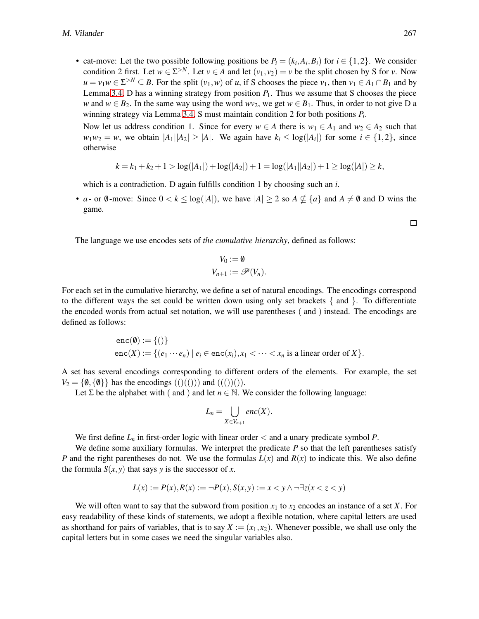• cat-move: Let the two possible following positions be  $P_i = (k_i, A_i, B_i)$  for  $i \in \{1, 2\}$ . We consider condition 2 first. Let  $w \in \Sigma^{>N}$ . Let  $v \in A$  and let  $(v_1, v_2) = v$  be the split chosen by S for *v*. Now  $u = v_1 w \in \Sigma^{>N} \subseteq B$ . For the split  $(v_1, w)$  of *u*, if S chooses the piece  $v_1$ , then  $v_1 \in A_1 \cap B_1$  and by Lemma [3.4,](#page-6-0) D has a winning strategy from position  $P_1$ . Thus we assume that S chooses the piece *w* and  $w \in B_2$ . In the same way using the word  $wv_2$ , we get  $w \in B_1$ . Thus, in order to not give D a winning strategy via Lemma [3.4,](#page-6-0) S must maintain condition 2 for both positions *P<sup>i</sup>* .

Now let us address condition 1. Since for every  $w \in A$  there is  $w_1 \in A_1$  and  $w_2 \in A_2$  such that  $w_1w_2 = w$ , we obtain  $|A_1||A_2| \ge |A|$ . We again have  $k_i \le \log(|A_i|)$  for some  $i \in \{1,2\}$ , since otherwise

$$
k = k_1 + k_2 + 1 > log(|A_1|) + log(|A_2|) + 1 = log(|A_1||A_2|) + 1 \ge log(|A|) \ge k,
$$

which is a contradiction. D again fulfills condition 1 by choosing such an *i*.

• *a*- or  $\emptyset$ -move: Since  $0 < k \leq \log(|A|)$ , we have  $|A| \geq 2$  so  $A \nsubseteq \{a\}$  and  $A \neq \emptyset$  and D wins the game.

The language we use encodes sets of *the cumulative hierarchy*, defined as follows:

$$
V_0 := \emptyset
$$
  

$$
V_{n+1} := \mathscr{P}(V_n).
$$

For each set in the cumulative hierarchy, we define a set of natural encodings. The encodings correspond to the different ways the set could be written down using only set brackets  $\{$  and  $\}$ . To differentiate the encoded words from actual set notation, we will use parentheses ( and ) instead. The encodings are defined as follows:

$$
enc(\emptyset) := \{()\}
$$
  
enc(X) :=  $\{(e_1 \cdots e_n) \mid e_i \in enc(x_i), x_1 < \cdots < x_n \text{ is a linear order of } X\}.$ 

A set has several encodings corresponding to different orders of the elements. For example, the set  $V_2 = \{0, \{0\}\}\$  has the encodings  $(()(())$  and  $((())()$ ).

Let  $\Sigma$  be the alphabet with ( and ) and let  $n \in \mathbb{N}$ . We consider the following language:

$$
L_n=\bigcup_{X\in V_{n+1}} enc(X).
$$

We first define  $L_n$  in first-order logic with linear order  $\lt$  and a unary predicate symbol P.

We define some auxiliary formulas. We interpret the predicate *P* so that the left parentheses satisfy *P* and the right parentheses do not. We use the formulas  $L(x)$  and  $R(x)$  to indicate this. We also define the formula  $S(x, y)$  that says *y* is the successor of *x*.

$$
L(x) := P(x), R(x) := \neg P(x), S(x, y) := x < y \land \neg \exists z (x < z < y)
$$

We will often want to say that the subword from position  $x_1$  to  $x_2$  encodes an instance of a set *X*. For easy readability of these kinds of statements, we adopt a flexible notation, where capital letters are used as shorthand for pairs of variables, that is to say  $X := (x_1, x_2)$ . Whenever possible, we shall use only the capital letters but in some cases we need the singular variables also.

 $\Box$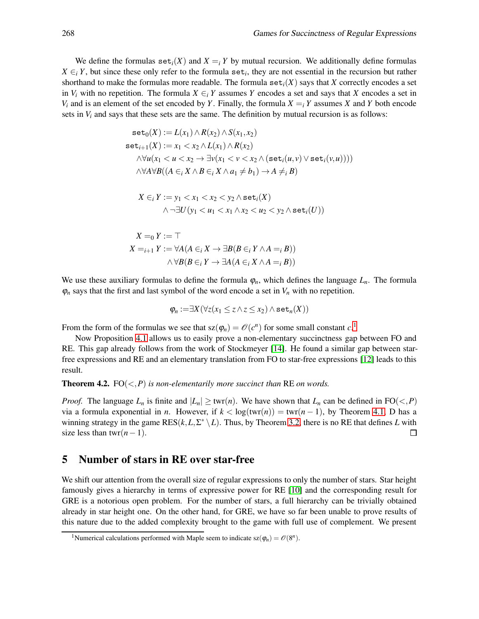We define the formulas  $\text{set}_i(X)$  and  $X = iY$  by mutual recursion. We additionally define formulas  $X \in_i Y$ , but since these only refer to the formula set<sub>*i*</sub>, they are not essential in the recursion but rather shorthand to make the formulas more readable. The formula  $set<sub>i</sub>(X)$  says that *X* correctly encodes a set in  $V_i$  with no repetition. The formula  $X \in i$  *Y* assumes *Y* encodes a set and says that *X* encodes a set in *V*<sub>i</sub> and is an element of the set encoded by *Y*. Finally, the formula  $X = iY$  assumes *X* and *Y* both encode sets in  $V_i$  and says that these sets are the same. The definition by mutual recursion is as follows:

$$
\mathbf{set}_0(X) := L(x_1) \land R(x_2) \land S(x_1, x_2)
$$
  
\n
$$
\mathbf{set}_{i+1}(X) := x_1 < x_2 \land L(x_1) \land R(x_2)
$$
  
\n
$$
\land \forall u(x_1 < u < x_2 \rightarrow \exists v(x_1 < v < x_2 \land (\mathbf{set}_i(u, v) \lor \mathbf{set}_i(v, u))))
$$
  
\n
$$
\land \forall A \forall B((A \in_i X \land B \in_i X \land a_1 \neq b_1) \rightarrow A \neq_i B)
$$

$$
X \in_i Y := y_1 < x_1 < x_2 < y_2 \land \texttt{set}_i(X) \\
\land \neg \exists U (y_1 < u_1 < x_1 \land x_2 < u_2 < y_2 \land \texttt{set}_i(U))
$$

$$
X =_0 Y := \top
$$
  
\n
$$
X =_{i+1} Y := \forall A (A \in_i X \to \exists B (B \in_i Y \land A =_i B))
$$
  
\n
$$
\land \forall B (B \in_i Y \to \exists A (A \in_i X \land A =_i B))
$$

We use these auxiliary formulas to define the formula  $\varphi_n$ , which defines the language  $L_n$ . The formula  $\varphi_n$  says that the first and last symbol of the word encode a set in  $V_n$  with no repetition.

$$
\varphi_n := \exists X (\forall z (x_1 \leq z \land z \leq x_2) \land \mathtt{set}_n(X))
$$

From the form of the formulas we see that  $sz(\varphi_n) = \mathcal{O}(c^n)$  for some small constant  $c$ <sup>[1](#page-10-0)</sup>.

Now Proposition [4.1](#page-8-0) allows us to easily prove a non-elementary succinctness gap between FO and RE. This gap already follows from the work of Stockmeyer [\[14\]](#page-14-10). He found a similar gap between starfree expressions and RE and an elementary translation from FO to star-free expressions [\[12\]](#page-14-11) leads to this result.

**Theorem 4.2.** FO $(*P*)$  *is non-elementarily more succinct than* RE *on words.* 

*Proof.* The language  $L_n$  is finite and  $|L_n| \geq \text{twr}(n)$ . We have shown that  $L_n$  can be defined in FO(<,*P*) via a formula exponential in *n*. However, if  $k < log(twr(n)) = twr(n-1)$ , by Theorem [4.1,](#page-8-0) D has a winning strategy in the game  $RES(k, L, \Sigma^* \setminus L)$ . Thus, by Theorem [3.2,](#page-6-1) there is no RE that defines *L* with size less than twr $(n-1)$ .  $\Box$ 

#### 5 Number of stars in RE over star-free

We shift our attention from the overall size of regular expressions to only the number of stars. Star height famously gives a hierarchy in terms of expressive power for RE [\[10\]](#page-14-8) and the corresponding result for GRE is a notorious open problem. For the number of stars, a full hierarchy can be trivially obtained already in star height one. On the other hand, for GRE, we have so far been unable to prove results of this nature due to the added complexity brought to the game with full use of complement. We present

<span id="page-10-0"></span><sup>&</sup>lt;sup>1</sup>Numerical calculations performed with Maple seem to indicate  $sz(\varphi_n) = \mathcal{O}(8^n)$ .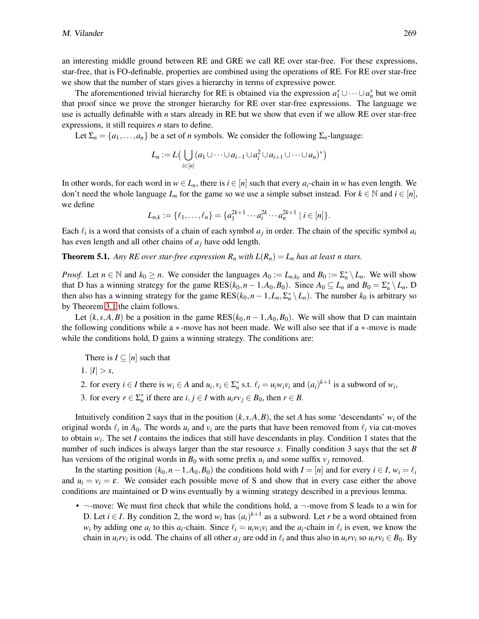an interesting middle ground between RE and GRE we call RE over star-free. For these expressions, star-free, that is FO-definable, properties are combined using the operations of RE. For RE over star-free we show that the number of stars gives a hierarchy in terms of expressive power.

The aforementioned trivial hierarchy for RE is obtained via the expression  $a_1^* \cup \cdots \cup a_n^*$  but we omit that proof since we prove the stronger hierarchy for RE over star-free expressions. The language we use is actually definable with *n* stars already in RE but we show that even if we allow RE over star-free expressions, it still requires *n* stars to define.

Let  $\Sigma_n = \{a_1, \ldots, a_n\}$  be a set of *n* symbols. We consider the following  $\Sigma_n$ -language:

$$
L_n := L\big(\bigcup_{i \in [n]} (a_1 \cup \cdots \cup a_{i-1} \cup a_i^2 \cup a_{i+1} \cup \cdots \cup a_n)^*\big)
$$

In other words, for each word in  $w \in L_n$ , there is  $i \in [n]$  such that every  $a_i$ -chain in *w* has even length. We don't need the whole language  $L_n$  for the game so we use a simple subset instead. For  $k \in \mathbb{N}$  and  $i \in [n]$ , we define

$$
L_{n,k} := \{ \ell_1, \ldots, \ell_n \} = \{ a_1^{2k+1} \cdots a_i^{2k} \cdots a_n^{2k+1} \mid i \in [n] \}.
$$

Each  $\ell_i$  is a word that consists of a chain of each symbol  $a_j$  in order. The chain of the specific symbol  $a_i$ has even length and all other chains of *a<sup>j</sup>* have odd length.

**Theorem 5.1.** Any RE over star-free expression  $R_n$  with  $L(R_n) = L_n$  has at least n stars.

*Proof.* Let  $n \in \mathbb{N}$  and  $k_0 \ge n$ . We consider the languages  $A_0 := L_{n,k_0}$  and  $B_0 := \sum_{n=1}^{\infty} \setminus L_n$ . We will show that D has a winning strategy for the game  $RES(k_0,n-1,A_0,B_0)$ . Since  $A_0 \subseteq L_n$  and  $B_0 = \sum_{n=1}^{\infty} \setminus L_n$ , D then also has a winning strategy for the game  $RES(k_0, n-1, L_n, \Sigma_n^* \setminus L_n)$ . The number  $k_0$  is arbitrary so by Theorem [3.1](#page-4-0) the claim follows.

Let  $(k, s, A, B)$  be a position in the game  $RES(k_0, n-1, A_0, B_0)$ . We will show that D can maintain the following conditions while a ∗-move has not been made. We will also see that if a ∗-move is made while the conditions hold, D gains a winning strategy. The conditions are:

There is  $I \subseteq [n]$  such that

- 1.  $|I| > s$ ,
- 2. for every  $i \in I$  there is  $w_i \in A$  and  $u_i, v_i \in \sum_{i=1}^{k} s.t.$   $\ell_i = u_i w_i v_i$  and  $(a_i)^{k+1}$  is a subword of  $w_i$ ,
- 3. for every  $r \in \sum_{n=1}^{\infty}$  if there are  $i, j \in I$  with  $u_i r v_j \in B_0$ , then  $r \in B$ .

Intuitively condition 2 says that in the position  $(k, s, A, B)$ , the set *A* has some 'descendants'  $w_i$  of the original words  $\ell_i$  in  $A_0$ . The words  $u_i$  and  $v_i$  are the parts that have been removed from  $\ell_i$  via cat-moves to obtain *w<sup>i</sup>* . The set *I* contains the indices that still have descendants in play. Condition 1 states that the number of such indices is always larger than the star resource *s*. Finally condition 3 says that the set *B* has versions of the original words in  $B_0$  with some prefix  $u_i$  and some suffix  $v_j$  removed.

In the starting position  $(k_0, n-1, A_0, B_0)$  the conditions hold with  $I = [n]$  and for every  $i \in I$ ,  $w_i = \ell_i$ and  $u_i = v_i = \varepsilon$ . We consider each possible move of S and show that in every case either the above conditions are maintained or D wins eventually by a winning strategy described in a previous lemma.

•  $\neg$ -move: We must first check that while the conditions hold, a  $\neg$ -move from S leads to a win for D. Let  $i \in I$ . By condition 2, the word  $w_i$  has  $(a_i)^{k+1}$  as a subword. Let *r* be a word obtained from *w*<sub>*i*</sub> by adding one *a*<sub>*i*</sub> to this *a*<sub>*i*</sub>-chain. Since  $\ell_i = u_i w_i v_i$  and the *a*<sub>*i*</sub>-chain in  $\ell_i$  is even, we know the chain in  $u_i r v_i$  is odd. The chains of all other  $a_j$  are odd in  $\ell_i$  and thus also in  $u_i r v_i$  so  $u_i r v_i \in B_0$ . By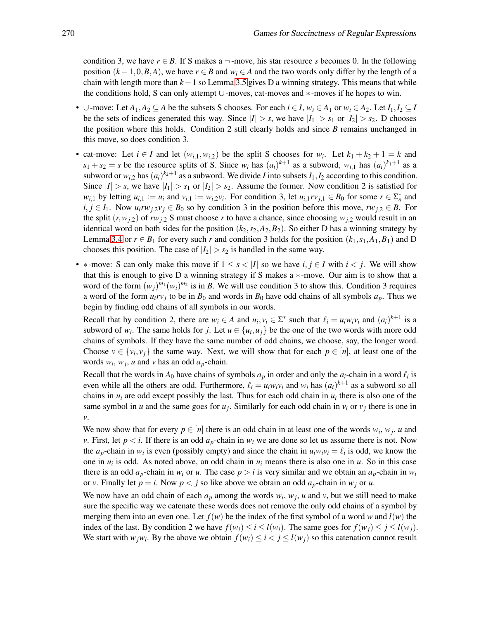condition 3, we have  $r \in B$ . If S makes a  $\neg$ -move, his star resource *s* becomes 0. In the following position  $(k-1,0,B,A)$ , we have  $r \in B$  and  $w_i \in A$  and the two words only differ by the length of a chain with length more than *k*−1 so Lemma [3.5](#page-7-0) gives D a winning strategy. This means that while the conditions hold, S can only attempt ∪-moves, cat-moves and ∗-moves if he hopes to win.

- ∪-move: Let  $A_1, A_2 \subseteq A$  be the subsets S chooses. For each  $i \in I$ ,  $w_i \in A_1$  or  $w_i \in A_2$ . Let  $I_1, I_2 \subseteq I$ be the sets of indices generated this way. Since  $|I| > s$ , we have  $|I_1| > s_1$  or  $|I_2| > s_2$ . D chooses the position where this holds. Condition 2 still clearly holds and since *B* remains unchanged in this move, so does condition 3.
- cat-move: Let  $i \in I$  and let  $(w_{i,1}, w_{i,2})$  be the split S chooses for  $w_i$ . Let  $k_1 + k_2 + 1 = k$  and  $s_1 + s_2 = s$  be the resource splits of S. Since  $w_i$  has  $(a_i)^{k+1}$  as a subword,  $w_{i,1}$  has  $(a_i)^{k_1+1}$  as a subword or  $w_{i,2}$  has  $(a_i)^{k_2+1}$  as a subword. We divide *I* into subsets  $I_1, I_2$  according to this condition. Since  $|I| > s$ , we have  $|I_1| > s_1$  or  $|I_2| > s_2$ . Assume the former. Now condition 2 is satisfied for  $w_{i,1}$  by letting  $u_{i,1} := u_i$  and  $v_{i,1} := w_{i,2}v_i$ . For condition 3, let  $u_{i,1}rv_{j,1} \in B_0$  for some  $r \in \sum_{n=1}^{\infty}$  and *i*, *j* ∈ *I*<sub>1</sub>. Now *u*<sub>*i*</sub>*rw*<sub>*j*,2</sub>*v*<sub>*j*</sub> ∈ *B*<sub>0</sub> so by condition 3 in the position before this move, *rw*<sub>*j*,2</sub> ∈ *B*. For the split  $(r, w_{j,2})$  of  $rw_{j,2}$  S must choose r to have a chance, since choosing  $w_{j,2}$  would result in an identical word on both sides for the position  $(k_2, s_2, A_2, B_2)$ . So either D has a winning strategy by Lemma [3.4](#page-6-0) or  $r \in B_1$  for every such *r* and condition 3 holds for the position  $(k_1, s_1, A_1, B_1)$  and D chooses this position. The case of  $|I_2| > s_2$  is handled in the same way.
- \*-move: S can only make this move if  $1 \leq s < |I|$  so we have *i*,  $j \in I$  with  $i < j$ . We will show that this is enough to give D a winning strategy if S makes a ∗-move. Our aim is to show that a word of the form  $(w_j)^{m_1}(w_i)^{m_2}$  is in *B*. We will use condition 3 to show this. Condition 3 requires a word of the form  $u_i r v_j$  to be in  $B_0$  and words in  $B_0$  have odd chains of all symbols  $a_p$ . Thus we begin by finding odd chains of all symbols in our words.

Recall that by condition 2, there are  $w_i \in A$  and  $u_i, v_i \in \Sigma^*$  such that  $\ell_i = u_i w_i v_i$  and  $(a_i)^{k+1}$  is a subword of  $w_i$ . The same holds for *j*. Let  $u \in \{u_i, u_j\}$  be the one of the two words with more odd chains of symbols. If they have the same number of odd chains, we choose, say, the longer word. Choose  $v \in \{v_i, v_j\}$  the same way. Next, we will show that for each  $p \in [n]$ , at least one of the words  $w_i$ ,  $w_j$ , *u* and *v* has an odd  $a_p$ -chain.

Recall that the words in  $A_0$  have chains of symbols  $a_p$  in order and only the  $a_i$ -chain in a word  $\ell_i$  is even while all the others are odd. Furthermore,  $\ell_i = u_i w_i v_i$  and  $w_i$  has  $(a_i)^{k+1}$  as a subword so all chains in  $u_i$  are odd except possibly the last. Thus for each odd chain in  $u_i$  there is also one of the same symbol in *u* and the same goes for  $u_j$ . Similarly for each odd chain in  $v_i$  or  $v_j$  there is one in *v*.

We now show that for every  $p \in [n]$  there is an odd chain in at least one of the words  $w_i, w_j, u$  and *v*. First, let  $p < i$ . If there is an odd  $a_p$ -chain in  $w_i$  we are done so let us assume there is not. Now the  $a_p$ -chain in  $w_i$  is even (possibly empty) and since the chain in  $u_iw_iv_i = \ell_i$  is odd, we know the one in  $u_i$  is odd. As noted above, an odd chain in  $u_i$  means there is also one in  $u$ . So in this case there is an odd  $a_p$ -chain in  $w_i$  or  $u$ . The case  $p > i$  is very similar and we obtain an  $a_p$ -chain in  $w_i$ or *v*. Finally let  $p = i$ . Now  $p < j$  so like above we obtain an odd  $a_p$ -chain in  $w_j$  or  $u$ .

We now have an odd chain of each  $a_p$  among the words  $w_i$ ,  $w_j$ ,  $u$  and  $v$ , but we still need to make sure the specific way we catenate these words does not remove the only odd chains of a symbol by merging them into an even one. Let  $f(w)$  be the index of the first symbol of a word *w* and  $l(w)$  the index of the last. By condition 2 we have  $f(w_i) \le i \le l(w_i)$ . The same goes for  $f(w_i) \le j \le l(w_i)$ . We start with  $w_jw_i$ . By the above we obtain  $f(w_i) \leq i < j \leq l(w_j)$  so this catenation cannot result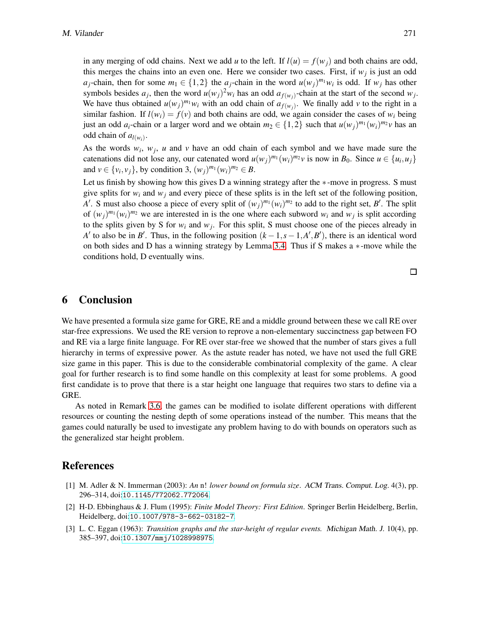in any merging of odd chains. Next we add *u* to the left. If  $l(u) = f(w_i)$  and both chains are odd, this merges the chains into an even one. Here we consider two cases. First, if  $w_j$  is just an odd *a*<sub>*j*</sub>-chain, then for some  $m_1 \in \{1,2\}$  the  $a_j$ -chain in the word  $u(w_j)^{m_1}w_i$  is odd. If  $w_j$  has other symbols besides  $a_j$ , then the word  $u(w_j)^2 w_i$  has an odd  $a_{f(w_j)}$ -chain at the start of the second  $w_j$ . We have thus obtained  $u(w_j)^{m_1}w_i$  with an odd chain of  $a_{f(w_j)}$ . We finally add v to the right in a similar fashion. If  $l(w_i) = f(v)$  and both chains are odd, we again consider the cases of  $w_i$  being just an odd  $a_i$ -chain or a larger word and we obtain  $m_2 \in \{1,2\}$  such that  $u(w_i)^{m_1}(w_i)^{m_2}v$  has an odd chain of  $a_{l(w_i)}$ .

As the words  $w_i$ ,  $w_j$ , *u* and *v* have an odd chain of each symbol and we have made sure the catenations did not lose any, our catenated word  $u(w_j)^{m_1}(w_i)^{m_2}v$  is now in  $B_0$ . Since  $u \in \{u_i, u_j\}$ and  $v \in \{v_i, v_j\}$ , by condition 3,  $(w_j)^{m_1}(w_i)^{m_2} \in B$ .

Let us finish by showing how this gives D a winning strategy after the ∗-move in progress. S must give splits for  $w_i$  and  $w_j$  and every piece of these splits is in the left set of the following position, *A*<sup> $\prime$ </sup>. S must also choose a piece of every split of  $(w_j)^{m_1}(w_i)^{m_2}$  to add to the right set, *B*<sup> $\prime$ </sup>. The split of  $(w_j)^{m_1}(w_i)^{m_2}$  we are interested in is the one where each subword  $w_i$  and  $w_j$  is split according to the splits given by S for  $w_i$  and  $w_j$ . For this split, S must choose one of the pieces already in  $A'$  to also be in *B'*. Thus, in the following position  $(k-1, s-1, A', B')$ , there is an identical word on both sides and D has a winning strategy by Lemma [3.4.](#page-6-0) Thus if S makes a ∗-move while the conditions hold, D eventually wins.

### 6 Conclusion

We have presented a formula size game for GRE, RE and a middle ground between these we call RE over star-free expressions. We used the RE version to reprove a non-elementary succinctness gap between FO and RE via a large finite language. For RE over star-free we showed that the number of stars gives a full hierarchy in terms of expressive power. As the astute reader has noted, we have not used the full GRE size game in this paper. This is due to the considerable combinatorial complexity of the game. A clear goal for further research is to find some handle on this complexity at least for some problems. A good first candidate is to prove that there is a star height one language that requires two stars to define via a GRE.

As noted in Remark [3.6,](#page-7-1) the games can be modified to isolate different operations with different resources or counting the nesting depth of some operations instead of the number. This means that the games could naturally be used to investigate any problem having to do with bounds on operators such as the generalized star height problem.

## References

- <span id="page-13-1"></span>[1] M. Adler & N. Immerman (2003): *An* n! *lower bound on formula size*. ACM Trans. Comput. Log. 4(3), pp. 296–314, doi:[10.1145/772062.772064](http://dx.doi.org/10.1145/772062.772064).
- <span id="page-13-2"></span>[2] H-D. Ebbinghaus & J. Flum (1995): *Finite Model Theory: First Edition*. Springer Berlin Heidelberg, Berlin, Heidelberg, doi:[10.1007/978-3-662-03182-7](http://dx.doi.org/10.1007/978-3-662-03182-7).
- <span id="page-13-0"></span>[3] L. C. Eggan (1963): *Transition graphs and the star-height of regular events.* Michigan Math. J. 10(4), pp. 385–397, doi:[10.1307/mmj/1028998975](http://dx.doi.org/10.1307/mmj/1028998975).

 $\Box$